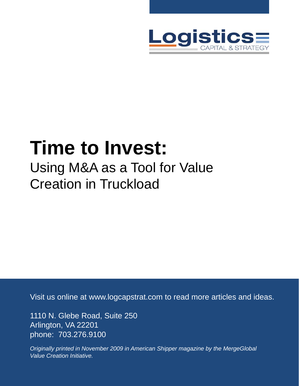

# **Time to Invest:** Using M&A as a Tool for Value Creation in Truckload

Visit us online at www.logcapstrat.com to read more articles and ideas.

1110 N. Glebe Road, Suite 250 Arlington, VA 22201 phone: 703.276.9100

*Originally printed in November 2009 in American Shipper magazine by the MergeGlobal Value Creation Initiative.*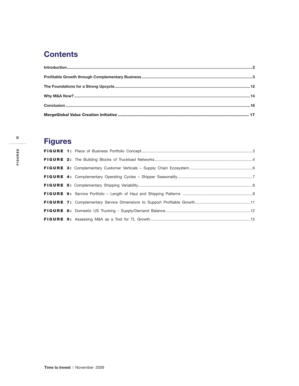### **Contents**

### **Figures**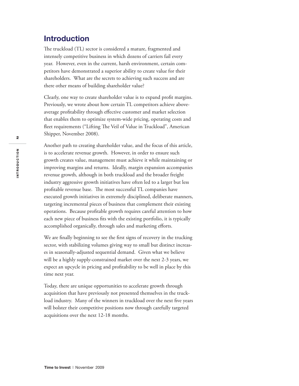### **Introduction**

The truckload (TL) sector is considered a mature, fragmented and intensely competitive business in which dozens of carriers fail every year. However, even in the current, harsh environment, certain competitors have demonstrated a superior ability to create value for their shareholders. What are the secrets to achieving such success and are there other means of building shareholder value?

Clearly, one way to create shareholder value is to expand profit margins. Previously, we wrote about how certain TL competitors achieve aboveaverage profitability through effective customer and market selection that enables them to optimize system-wide pricing, operating costs and fleet requirements ("Lifting The Veil of Value in Truckload", American Shipper, November 2008).

Another path to creating shareholder value, and the focus of this article, is to accelerate revenue growth. However, in order to ensure such growth creates value, management must achieve it while maintaining or improving margins and returns. Ideally, margin expansion accompanies revenue growth, although in both truckload and the broader freight industry aggressive growth initiatives have often led to a larger but less profitable revenue base. The most successful TL companies have executed growth initiatives in extremely disciplined, deliberate manners, targeting incremental pieces of business that complement their existing operations. Because profitable growth requires careful attention to how each new piece of business fits with the existing portfolio, it is typically accomplished organically, through sales and marketing efforts.

We are finally beginning to see the first signs of recovery in the trucking sector, with stabilizing volumes giving way to small but distinct increases in seasonally-adjusted sequential demand. Given what we believe will be a highly supply-constrained market over the next 2-3 years, we expect an upcycle in pricing and profitability to be well in place by this time next year.

Today, there are unique opportunities to accelerate growth through acquisition that have previously not presented themselves in the truckload industry. Many of the winners in truckload over the next five years will bolster their competitive positions now through carefully targeted acquisitions over the next 12-18 months.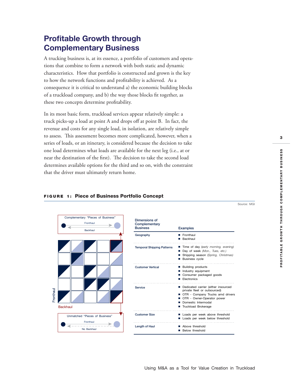### **Profitable Growth through Complementary Business**

A trucking business is, at its essence, a portfolio of customers and operations that combine to form a network with both static and dynamic characteristics. How that portfolio is constructed and grown is the key to how the network functions and profitability is achieved. As a consequence it is critical to understand a) the economic building blocks of a truckload company, and b) the way those blocks fit together, as these two concepts determine profitability.

In its most basic form, truckload services appear relatively simple: a truck picks-up a load at point A and drops off at point B. In fact, the revenue and costs for any single load, in isolation, are relatively simple to assess. This assessment becomes more complicated, however, when a series of loads, or an itinerary, is considered because the decision to take one load determines what loads are available for the next leg (i.e., at or near the destination of the first). The decision to take the second load determines available options for the third and so on, with the constraint that the driver must ultimately return home.

### Complementary "Pieces of Business" Fronthaul  $\overline{\phantom{a}}$ Backhaul Fronthaul **ronthau** Backhaul Unmatched "Pieces of Business" Fronthaul  $\blacktriangle$  - - - $- - - - - - - - - - -$ No Backhaul

#### **FIGURE 1: Piece of Business Portfolio Concept**

 **Dimensions of Complementary Examples Geography** ■ Fronthaul ■ Backhaul ■ Time of day (*early morning, evening)* **Temporal Shipping Patterns** ■ Day of week *(Mon., Tues, etc.)* ■ Shipping season (*Spring, Christmas)* ■ Business cycle ■ Building products **Customer Vertical** ■ Industry equipment ■ Consumer packaged goods ■ Electronics ■ Dedicated carrier (either insourced **Service**private fleet or outsourced) ■ OTR - Company Trucks amd drivers ■ OTR - Owner-Operator power ■ Domestic Intermodal ■ Truckload Brokerage **Customer Size** ■ Loads per week above threshold ■ Loads per week below threshold **Length of Haul** ■ Above threshold ■ Below threshold

Source: MGI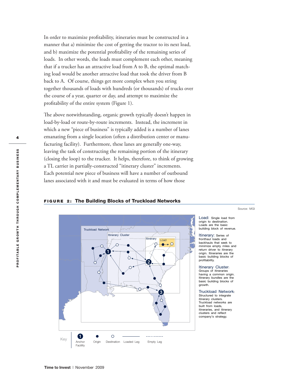In order to maximize profitability, itineraries must be constructed in a manner that a) minimize the cost of getting the tractor to its next load, and b) maximize the potential profitability of the remaining series of loads. In other words, the loads must complement each other, meaning that if a trucker has an attractive load from A to B, the optimal matching load would be another attractive load that took the driver from B back to A. Of course, things get more complex when you string together thousands of loads with hundreds (or thousands) of trucks over the course of a year, quarter or day, and attempt to maximize the profitability of the entire system (Figure 1).

The above notwithstanding, organic growth typically doesn't happen in load-by-load or route-by-route increments. Instead, the increment in which a new "piece of business" is typically added is a number of lanes emanating from a single location (often a distribution center or manufacturing facility). Furthermore, these lanes are generally one-way, leaving the task of constructing the remaining portion of the itinerary (closing the loop) to the trucker. It helps, therefore, to think of growing a TL carrier in partially-constructed "itinerary cluster" increments. Each potential new piece of business will have a number of outbound lanes associated with it and must be evaluated in terms of how those

## non not Truckload Network Itinerary Cluster **Itinerary** Load  $\circ$ Ò 0 Key **Origin Destination Loaded Leg Empty Leg**<br>Anchor Origin Destination Loaded Leg Empty Leg  $\bigcirc$ Anchor Faciility

#### **FIGURE 2: The Building Blocks of Truckload Networks**

Load: Single load from origin to destination. Loads are the basic building block of revenue. Source: MGI

Itinerary: Series of fronthaul loads and backhauls that seek to minimize empty miles and return driver to itinerary origin. Itineraries are the basic building blocks of profitability.

Itinerary Cluster: Groups of itineraries having a common origin. Itinerary bundles are the basic building blocks of growth.

Truckload Network: Structured to integrate itinerary clusters. Truckload networks are built from loads, itineraries, and itinerary clusters and reflect company's strategy.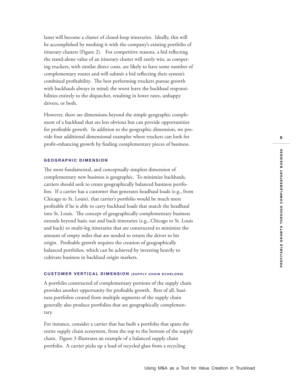lanes will become a cluster of closed-loop itineraries. Ideally, this will be accomplished by meshing it with the company's existing portfolio of itinerary clusters (Figure 2). For competitive reasons, a bid reflecting the stand-alone value of an itinerary cluster will rarely win, as competing truckers, with similar direct costs, are likely to have some number of complementary routes and will submit a bid reflecting their system's combined profitability. The best performing truckers pursue growth with backhauls always in mind; the worst leave the backhaul responsibilities entirely to the dispatcher, resulting in lower rates, unhappy drivers, or both.

However, there are dimensions beyond the simple geographic complement of a backhaul that are less obvious but can provide opportunities for profi table growth. In addition to the geographic dimension, we provide four additional dimensional examples where truckers can look for profit-enhancing growth by finding complementary pieces of business.

#### **GEOGRAPHIC DIMENSION**

The most fundamental, and conceptually simplest dimension of complementary new business is geographic. To minimize backhauls, carriers should seek to create geographically balanced business portfolios. If a carrier has a customer that generates headhaul loads (e.g., from Chicago to St. Louis), that carrier's portfolio would be much more profitable if he is able to carry backhaul loads that match the headhaul into St. Louis. The concept of geographically complementary business extends beyond basic out and back itineraries (e.g., Chicago to St. Louis and back) to multi-leg itineraries that are constructed to minimize the amount of empty miles that are needed to return the driver to his origin. Profitable growth requires the creation of geographically balanced portfolios, which can be achieved by investing heavily to cultivate business in backhaul origin markets.

#### **CUSTOMER VERTICAL DIMENSION (SUPPLY CHAIN ECHELONS)**

A portfolio constructed of complementary portions of the supply chain provides another opportunity for profitable growth. Best of all, business portfolios created from multiple segments of the supply chain generally also produce portfolios that are geographically complementary.

For instance, consider a carrier that has built a portfolio that spans the entire supply chain ecosystem, from the top to the bottom of the supply chain. Figure 3 illustrates an example of a balanced supply chain portfolio. A carrier picks up a load of recycled glass from a recycling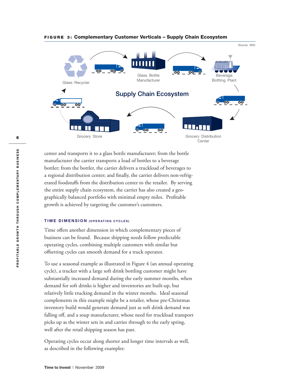

#### **FIGURE 3: Complementary Customer Verticals – Supply Chain Ecosystem**

center and transports it to a glass bottle manufacturer; from the bottle manufacturer the carrier transports a load of bottles to a beverage bottler; from the bottler, the carrier delivers a truckload of beverages to a regional distribution center; and finally, the carrier delivers non-refrigerated foodstuffs from the distribution center to the retailer. By serving the entire supply chain ecosystem, the carrier has also created a geographically balanced portfolio with minimal empty miles. Profitable growth is achieved by targeting the customer's customers.

#### **TIME DIMENSION (OPERATING CYCLES)**

Time offers another dimension in which complementary pieces of business can be found. Because shipping needs follow predictable operating cycles, combining multiple customers with similar but offsetting cycles can smooth demand for a truck operator.

To use a seasonal example as illustrated in Figure 4 (an annual operating cycle), a trucker with a large soft drink bottling customer might have substantially increased demand during the early summer months, when demand for soft drinks is higher and inventories are built-up, but relatively little trucking demand in the winter months. Ideal seasonal complements in this example might be a retailer, whose pre-Christmas inventory build would generate demand just as soft drink demand was falling off, and a soup manufacturer, whose need for truckload transport picks up as the winter sets in and carries through to the early spring, well after the retail shipping season has past.

Operating cycles occur along shorter and longer time intervals as well, as described in the following examples: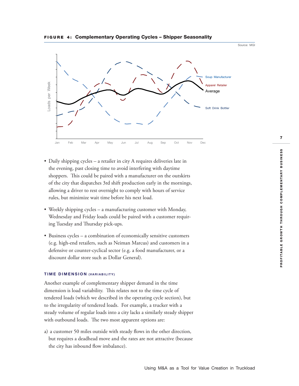

#### **FIGURE 4: Complementary Operating Cycles – Shipper Seasonality**

- Daily shipping cycles a retailer in city A requires deliveries late in the evening, past closing time to avoid interfering with daytime shoppers. This could be paired with a manufacturer on the outskirts of the city that dispatches 3rd shift production early in the mornings, allowing a driver to rest overnight to comply with hours of service rules, but minimize wait time before his next load.
- Weekly shipping cycles a manufacturing customer with Monday, Wednesday and Friday loads could be paired with a customer requiring Tuesday and Thursday pick-ups.
- Business cycles a combination of economically sensitive customers (e.g. high-end retailers, such as Neiman Marcus) and customers in a defensive or counter-cyclical sector (e.g. a food manufacturer, or a discount dollar store such as Dollar General).

#### **TIME DIMENSION (VARIABILITY)**

Another example of complementary shipper demand in the time dimension is load variability. This relates not to the time cycle of tendered loads (which we described in the operating cycle section), but to the irregularity of tendered loads. For example, a trucker with a steady volume of regular loads into a city lacks a similarly steady shipper with outbound loads. The two most apparent options are:

a) a customer 50 miles outside with steady flows in the other direction, but requires a deadhead move and the rates are not attractive (because the city has inbound flow imbalance).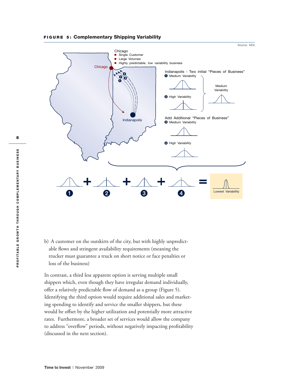



b) A customer on the outskirts of the city, but with highly unpredictable flows and stringent availability requirements (meaning the trucker must guarantee a truck on short notice or face penalties or loss of the business)

In contrast, a third less apparent option is serving multiple small shippers which, even though they have irregular demand individually, offer a relatively predictable flow of demand as a group (Figure 5). Identifying the third option would require additional sales and marketing spending to identify and service the smaller shippers, but these would be offset by the higher utilization and potentially more attractive rates. Furthermore, a broader set of services would allow the company to address "overflow" periods, without negatively impacting profitability (discussed in the next section).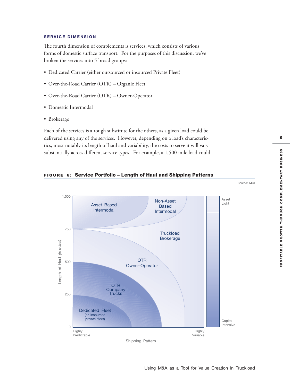#### **SERVICE DIMENSION**

The fourth dimension of complements is services, which consists of various forms of domestic surface transport. For the purposes of this discussion, we've broken the services into 5 broad groups:

- Dedicated Carrier (either outsourced or insourced Private Fleet)
- Over-the-Road Carrier (OTR) Organic Fleet
- Over-the-Road Carrier (OTR) Owner-Operator
- Domestic Intermodal
- Brokerage

Each of the services is a rough substitute for the others, as a given load could be delivered using any of the services. However, depending on a load's characteristics, most notably its length of haul and variability, the costs to serve it will vary substantially across different service types. For example, a 1,500 mile load could



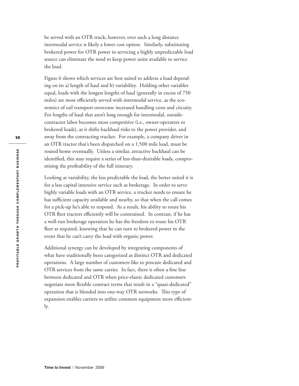be served with an OTR truck; however, over such a long distance intermodal service is likely a lower cost option. Similarly, substituting brokered power for OTR power in servicing a highly unpredictable load source can eliminate the need to keep power units available to service the load.

Figure 6 shows which services are best suited to address a load depending on its a) length of haul and b) variability. Holding other variables equal, loads with the longest lengths of haul (generally in excess of 750 miles) are most efficiently served with intermodal service, as the economics of rail transport overcome increased handling costs and circuity. For lengths of haul that aren't long enough for intermodal, outsidecontractor labor becomes most competitive (i.e., owner-operators or brokered loads), as it shifts backhaul risks to the power provider, and away from the contracting trucker. For example, a company driver in an OTR tractor that's been dispatched on a 1,500 mile load, must be routed home eventually. Unless a similar, attractive backhaul can be identified, this may require a series of less-than-desirable loads, compromising the profitability of the full itinerary.

Looking at variability, the less predictable the load, the better suited it is for a less capital intensive service such as brokerage. In order to serve highly variable loads with an OTR service, a trucker needs to ensure he has sufficient capacity available and nearby, so that when the call comes for a pick-up he's able to respond. As a result, his ability to route his OTR fleet tractors efficiently will be constrained. In contrast, if he has a well-run brokerage operation he has the freedom to route his OTR fleet as required, knowing that he can turn to brokered power in the event that he can't carry the load with organic power.

Additional synergy can be developed by integrating components of what have traditionally been categorized as distinct OTR and dedicated operations. A large number of customers like to procure dedicated and OTR services from the same carrier. In fact, there is often a fine line between dedicated and OTR when price-elastic dedicated customers negotiate more flexible contract terms that result in a "quasi-dedicated" operation that is blended into one-way OTR networks. This type of expansion enables carriers to utilize common equipment more efficiently.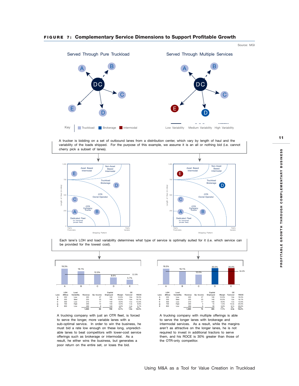

**FIGURE 7: Complementary Service Dimensions to Support Profitable Growth** 





DC

C

A trucker is bidding on a set of outbound lanes from a distribution center, which vary by length of haul and the variability of the loads shipped. For the purpose of this example, we assume it is an all or nothing bid (i.e. cannot cherry pick a subset of lanes).



Each lane's LOH and load variability determines what type of service is optimally suited for it (i.e. which service can be provided for the lowest cost).



A trucking company with just an OTR fleet, is forced to serve the longer, more variable lanes with a sub-optimal service. In order to win the business, he must bid a rate low enough on these long, unpredictable lanes to beat competitors with lower-cost service offerings such as brokerage or intermodal. As a result, he either wins the business, but generates a poor return on the entire set, or loses the bid.



A trucking company with multiple offerings is able to serve the longer lanes with brokerage and intermodal services. As a result, while the margins aren't as attractive on the longer lanes, he is not required to invest in additional tractors to serve them, and his ROCE is 30% greater than those of the OTR-only competitor.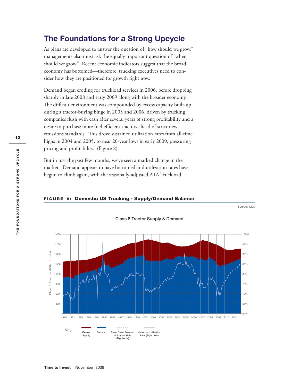### **The Foundations for a Strong Upcycle**

As plans are developed to answer the question of "how should we grow," managements also must ask the equally important question of "when should we grow." Recent economic indicators suggest that the broad economy has bottomed—therefore, trucking executives need to consider how they are positioned for growth right now.

Demand began eroding for truckload services in 2006, before dropping sharply in late 2008 and early 2009 along with the broader economy. The difficult environment was compounded by excess capacity built-up during a tractor-buying binge in 2005 and 2006, driven by trucking companies flush with cash after several years of strong profitability and a desire to purchase more fuel-efficient tractors ahead of strict new emissions standards. This drove sustained utilization rates from all-time highs in 2004 and 2005, to near 20-year lows in early 2009, pressuring pricing and profitability. (Figure 8)

But in just the past few months, we've seen a marked change in the market. Demand appears to have bottomed and utilization rates have begun to climb again, with the seasonally-adjusted ATA Truckload

#### **FIGURE 8: Domestic US Trucking - Supply/Demand Balance**



**Class 8 Tractor Supply & Demand**

Source: MGI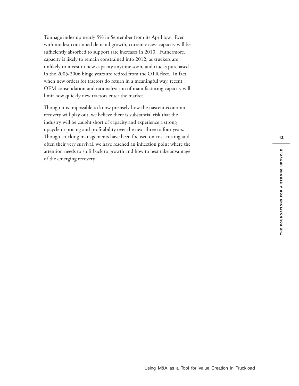Tonnage index up nearly 5% in September from its April low. Even with modest continued demand growth, current excess capacity will be sufficiently absorbed to support rate increases in 2010. Futhermore, capacity is likely to remain constrained into 2012, as truckers are unlikely to invest in new capacity anytime soon, and trucks purchased in the 2005-2006 binge years are retired from the OTR fleet. In fact, when new orders for tractors do return in a meaningful way, recent OEM consolidation and rationalization of manufacturing capacity will limit how quickly new tractors enter the market.

Though it is impossible to know precisely how the nascent economic recovery will play out, we believe there is substantial risk that the industry will be caught short of capacity and experience a strong upcycle in pricing and profitability over the next three to four years. Though trucking managements have been focused on cost-cutting and often their very survival, we have reached an inflection point where the attention needs to shift back to growth and how to best take advantage of the emerging recovery.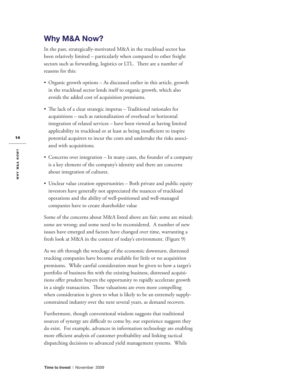### **Why M&A Now?**

In the past, strategically-motivated M&A in the truckload sector has been relatively limited – particularly when compared to other freight sectors such as forwarding, logistics or LTL. There are a number of reasons for this:

- Organic growth options As discussed earlier in this article, growth in the truckload sector lends itself to organic growth, which also avoids the added cost of acquisition premiums.
- The lack of a clear strategic impetus Traditional rationales for acquisitions – such as rationalization of overhead or horizontal integration of related services – have been viewed as having limited applicability in truckload or at least as being insufficient to inspire potential acquirers to incur the costs and undertake the risks associated with acquisitions.
- Concerns over integration In many cases, the founder of a company is a key element of the company's identity and there are concerns about integration of cultures.
- Unclear value creation opportunities Both private and public equity investors have generally not appreciated the nuances of truckload operations and the ability of well-positioned and well-managed companies have to create shareholder value

Some of the concerns about M&A listed above are fair; some are mixed; some are wrong; and some need to be reconsidered. A number of new issues have emerged and factors have changed over time, warranting a fresh look at M&A in the context of today's environment. (Figure 9)

As we sift through the wreckage of the economic downturn, distressed trucking companies have become available for little or no acquisition premiums. While careful consideration must be given to how a target's portfolio of business fits with the existing business, distressed acquisitions offer prudent buyers the opportunity to rapidly accelerate growth in a single transaction. These valuations are even more compelling when consideration is given to what is likely to be an extremely supplyconstrained industry over the next several years, as demand recovers.

Furthermore, though conventional wisdom suggests that traditional sources of synergy are difficult to come by, our experience suggests they do exist. For example, advances in information technology are enabling more efficient analysis of customer profitability and linking tactical dispatching decisions to advanced yield management systems. While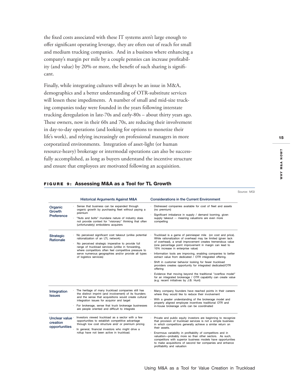the fixed costs associated with these IT systems aren't large enough to offer significant operating leverage, they are often out of reach for small and medium trucking companies. And in a business where enhancing a company's margin per mile by a couple pennies can increase profitability (and value) by 20% or more, the benefit of such sharing is significant.

Finally, while integrating cultures will always be an issue in M&A, demographics and a better understanding of OTR-substitute services will lessen these impediments. A number of small and mid-size trucking companies today were founded in the years following interstate trucking deregulation in late-70s and early-80s – about thirty years ago. These owners, now in their 60s and 70s, are reducing their involvement in day-to-day operations (and looking for options to monetize their life's work), and relying increasingly on professional managers in more corporatized environments. Integration of asset-light (or human resource-heavy) brokerage or intermodal operations can also be successfully accomplished, as long as buyers understand the incentive structure and ensure that employees are motivated following an acquisition.

|                                            | <b>Historical Arguments Against M&amp;A</b>                                                                                                                                                                                                                                                                                                       | <b>Considerations in the Current Environment</b>                                                                                                                                                                                                                                                                                                                                                                                                                                                                                                                                                                                                                                                                                     |
|--------------------------------------------|---------------------------------------------------------------------------------------------------------------------------------------------------------------------------------------------------------------------------------------------------------------------------------------------------------------------------------------------------|--------------------------------------------------------------------------------------------------------------------------------------------------------------------------------------------------------------------------------------------------------------------------------------------------------------------------------------------------------------------------------------------------------------------------------------------------------------------------------------------------------------------------------------------------------------------------------------------------------------------------------------------------------------------------------------------------------------------------------------|
| Organic<br>Growth<br>Preference            | Sense that business can be expanded through<br>organic growth by purchasing fleet without paying a<br>premium<br>"Nuts and bolts" mundane nature of industry does<br>not provide context for "visionary" thinking that often<br>(unfortunately) emboldens acquirers                                                                               | Distressed companies available for cost of fleet and assets<br>(no premium)<br>Significant imbalance in supply / demand looming, given<br>supply takeout -- meaning valuations are even more<br>compelling                                                                                                                                                                                                                                                                                                                                                                                                                                                                                                                           |
| <b>Strategic</b><br><b>Rationale</b>       | No perceived significant cost takeout (unlike potential<br>rationalization of an LTL network)<br>No perceived strategic imperative to provide full<br>range of truckload services (unlike in forwarding,<br>where competitors often feel competitive pressure to<br>serve numerous geographies and/or provide all types<br>of logistics services) | Truckload is a game of penniesper mile (on cost and price).<br>While rationalization of overhead may be limited (given lack<br>of overhead), a small improvement creates tremendous value<br>(one percentage point improvement in margin can lead to<br>10% increase in enterprise value)<br>Information tools are improving, enabling companies to better<br>extract value from dedicated / OTR integrated offering.<br>Shift in customer behavior looking for fewer truckload<br>providers creates opportunity for integrated dedicated/OTR<br>offering<br>Evidence that moving beyond the traditional "overflow model"<br>for an integrated brokerage / OTR capability can create value<br>(e.g. recent initiatives by J.B. Hunt) |
| Integration<br><b>Issues</b>               | The heritage of many truckload companies still has<br>the distinct imprint (and involvement) of its founders<br>and the sense that acquisitions would create cultural<br>integration issues for acquiror and target<br>For brokerage, sense that truck brokerage businesses<br>are people oriented and difficult to integrate                     | Many company founders have reached points in their careers<br>where they would like to reduce their involvement<br>With a greater understanding of the brokerage model and<br>properly aligned employee incentives traditional OTR and<br>in-house brokerage units can be coordinated                                                                                                                                                                                                                                                                                                                                                                                                                                                |
| Unclear value<br>creation<br>opportunities | Investors viewed truckload as a sector with a few<br>opportunities to establish competitive advantage<br>through low cost structure and/ or premium pricing<br>In general, financial investors who might drive a<br>rollup have not been active in truckload.                                                                                     | Private and public equity investors are beginning to recognize<br>that provision of truckload services is not a simple business<br>in which competitors generally achieve a similar return on<br>their assets.<br>Enormous variability in profitability of competitors and in<br>valuation-probably more so than other sectors. As such,<br>competitors with superior business models have opportunities<br>to make acquisitions of second tier companies and enhance<br>profitability and valuation                                                                                                                                                                                                                                 |

#### **FIGURE 9: Assessing M&A as a Tool for TL Growth**

Source: MGI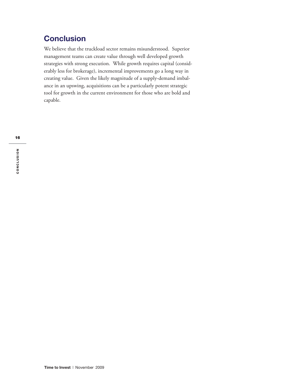### **Conclusion**

We believe that the truckload sector remains misunderstood. Superior management teams can create value through well developed growth strategies with strong execution. While growth requires capital (considerably less for brokerage), incremental improvements go a long way in creating value. Given the likely magnitude of a supply-demand imbalance in an upswing, acquisitions can be a particularly potent strategic tool for growth in the current environment for those who are bold and capable.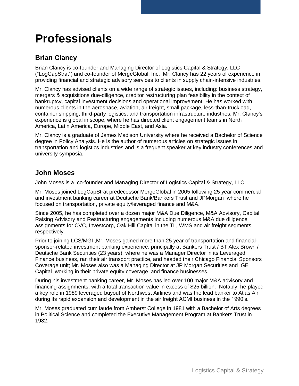## **Professionals**

### **Brian Clancy**

Brian Clancy is co-founder and Managing Director of Logistics Capital & Strategy, LLC ("LogCapStrat") and co-founder of MergeGlobal, Inc. Mr. Clancy has 22 years of experience in providing financial and strategic advisory services to clients in supply chain-intensive industries.

Mr. Clancy has advised clients on a wide range of strategic issues, including: business strategy, mergers & acquisitions due-diligence, creditor restructuring plan feasibility in the context of bankruptcy, capital investment decisions and operational improvement. He has worked with numerous clients in the aerospace, aviation, air freight, small package, less-than-truckload, container shipping, third-party logistics, and transportation infrastructure industries. Mr. Clancy's experience is global in scope, where he has directed client engagement teams in North America, Latin America, Europe, Middle East, and Asia.

Mr. Clancy is a graduate of James Madison University where he received a Bachelor of Science degree in Policy Analysis. He is the author of numerous articles on strategic issues in transportation and logistics industries and is a frequent speaker at key industry conferences and university symposia.

### **John Moses**

John Moses is a co-founder and Managing Director of Logistics Capital & Strategy, LLC

Mr. Moses joined LogCapStrat predecessor MergeGlobal in 2005 following 25 year commercial and investment banking career at Deutsche Bank/Bankers Trust and JPMorgan where he focused on transportation, private equity/leveraged finance and M&A.

Since 2005, he has completed over a dozen major M&A Due Diligence, M&A Advisory, Capital Raising Advisory and Restructuring engagements including numerous M&A due diligence assignments for CVC, Investcorp, Oak Hill Capital in the TL, WMS and air freight segments respectively.

Prior to joining LCS/MGI, Mr. Moses gained more than 25 year of transportation and financialsponsor-related investment banking experience, principally at Bankers Trust / BT Alex Brown / Deutsche Bank Securities (23 years), where he was a Manager Director in its Leveraged Finance business, ran their air transport practice, and headed their Chicago Financial Sponsors Coverage unit; Mr. Moses also was a Managing Director at JP Morgan Securities and GE Capital working in their private equity coverage and finance businesses.

During his investment banking career, Mr. Moses has led over 100 major M&A advisory and financing assignments, with a total transaction value in excess of \$25 billion. Notably, he played a key role in 1989 leveraged buyout of Northwest Airlines and was the lead banker to Atlas Air during its rapid expansion and development in the air freight ACMI business in the 1990's.

Mr. Moses graduated cum laude from Amherst College in 1981 with a Bachelor of Arts degrees in Political Science and completed the Executive Management Program at Bankers Trust in 1982.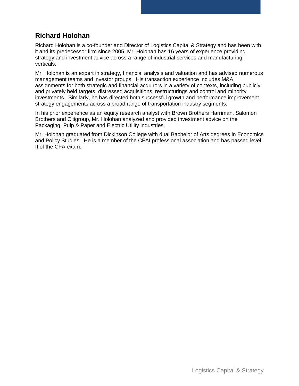### **Richard Holohan**

Richard Holohan is a co-founder and Director of Logistics Capital & Strategy and has been with it and its predecessor firm since 2005. Mr. Holohan has 16 years of experience providing strategy and investment advice across a range of industrial services and manufacturing verticals.

Mr. Holohan is an expert in strategy, financial analysis and valuation and has advised numerous management teams and investor groups. His transaction experience includes M&A assignments for both strategic and financial acquirors in a variety of contexts, including publicly and privately held targets, distressed acquisitions, restructurings and control and minority investments. Similarly, he has directed both successful growth and performance improvement strategy engagements across a broad range of transportation industry segments.

In his prior experience as an equity research analyst with Brown Brothers Harriman, Salomon Brothers and Citigroup, Mr. Holohan analyzed and provided investment advice on the Packaging, Pulp & Paper and Electric Utility industries.

Mr. Holohan graduated from Dickinson College with dual Bachelor of Arts degrees in Economics and Policy Studies. He is a member of the CFAI professional association and has passed level II of the CFA exam.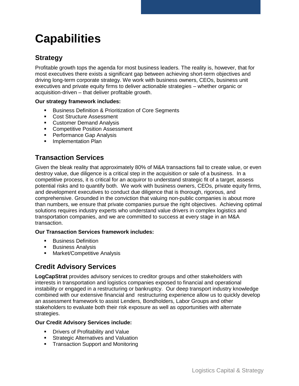## **Capabilities**

### **Strategy**

Profitable growth tops the agenda for most business leaders. The reality is, however, that for most executives there exists a significant gap between achieving short-term objectives and driving long-term corporate strategy. We work with business owners, CEOs, business unit executives and private equity firms to deliver actionable strategies – whether organic or acquisition-driven – that deliver profitable growth.

#### **Our strategy framework includes:**

- Business Definition & Prioritization of Core Segments
- Cost Structure Assessment
- **Customer Demand Analysis**
- **Competitive Position Assessment**
- **Performance Gap Analysis**
- **Implementation Plan**

### **Transaction Services**

Given the bleak reality that approximately 80% of M&A transactions fail to create value, or even destroy value, due diligence is a critical step in the acquisition or sale of a business. In a competitive process, it is critical for an acquiror to understand strategic fit of a target, assess potential risks and to quantify both. We work with business owners, CEOs, private equity firms, and development executives to conduct due diligence that is thorough, rigorous, and comprehensive. Grounded in the conviction that valuing non-public companies is about more than numbers, we ensure that private companies pursue the right objectives. Achieving optimal solutions requires industry experts who understand value drivers in complex logistics and transportation companies, and we are committed to success at every stage in an M&A transaction.

#### **Our Transaction Services framework includes:**

- **Business Definition**
- **Business Analysis**
- **Market/Competitive Analysis**

### **Credit Advisory Services**

**LogCapStrat** provides advisory services to creditor groups and other stakeholders with interests in transportation and logistics companies exposed to financial and operational instability or engaged in a restructuring or bankruptcy. Our deep transport industry knowledge combined with our extensive financial and restructuring experience allow us to quickly develop an assessment framework to assist Lenders, Bondholders, Labor Groups and other stakeholders to evaluate both their risk exposure as well as opportunities with alternate strategies.

#### **Our Credit Advisory Services include:**

- **•** Drivers of Profitability and Value
- **Strategic Alternatives and Valuation**
- **Transaction Support and Monitoring**